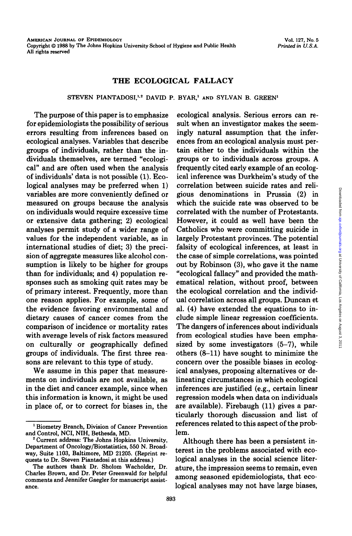## **THE ECOLOGICAL FALLACY**

# STEVEN PIANTADOSI,<sup>1,2</sup> DAVID P. BYAR,<sup>1</sup> and SYLVAN B. GREEN<sup>1</sup>

The purpose of this paper is to emphasize for epidemiologists the possibility of serious errors resulting from inferences based on ecological analyses. Variables that describe groups of individuals, rather than the individuals themselves, are termed "ecological" and are often used when the analysis of individuals' data is not possible (1). Ecological analyses may be preferred when 1) variables are more conveniently defined or measured on groups because the analysis on individuals would require excessive time or extensive data gathering; 2) ecological analyses permit study of a wider range of values for the independent variable, as in international studies of diet; 3) the precision of aggregate measures like alcohol consumption is likely to be higher for groups than for individuals; and 4) population responses such as smoking quit rates may be of primary interest. Frequently, more than one reason applies. For example, some of the evidence favoring environmental and dietary causes of cancer comes from the comparison of incidence or mortality rates with average levels of risk factors measured on culturally or geographically defined groups of individuals. The first three reasons are relevant to this type of study.

We assume in this paper that measurements on individuals are not available, as in the diet and cancer example, since when this information is known, it might be used in place of, or to correct for biases in, the

ecological analysis. Serious errors can result when an investigator makes the seemingly natural assumption that the inferences from an ecological analysis must pertain either to the individuals within the groups or to individuals across groups. A frequently cited early example of an ecological inference was Durkheim's study of the correlation between suicide rates and religious denominations in Prussia (2) in which the suicide rate was observed to be correlated with the number of Protestants. However, it could as well have been the Catholics who were committing suicide in largely Protestant provinces. The potential falsity of ecological inferences, at least in the case of simple correlations, was pointed out by Robinson (3), who gave it the name "ecological fallacy" and provided the mathematical relation, without proof, between the ecological correlation and the individual correlation across all groups. Duncan et al. (4) have extended the equations to include simple linear regression coefficients. The dangers of inferences about individuals from ecological studies have been emphasized by some investigators (5-7), while others (8-11) have sought to minimize the concern over the possible biases in ecological analyses, proposing alternatives or delineating circumstances in which ecological inferences are justified (e.g., certain linear regression models when data on individuals are available). Firebaugh (11) gives a parare avanaure). Firebaugh (11) gives a par-<br>ticularly thorough discussion and list of requestly thorough discussion and not of references related to this aspect of the problem.

Although there has been a persistent interest in the problems associated with ecological analyses in the social science literature, the impression seems to remain, even among seasoned epidemiologists, that ecological analyses may not have large biases,

<sup>&</sup>lt;sup>1</sup> Biometry Branch, Division of Cancer Prevention and Control, NCI, NIH, Bethesda, MD.

<sup>2</sup> Current address: The Johns Hopkins University, Department of Oncology/Biostatistics, 550 N. Broadway, Suite 1103, Baltimore, MD 21205. (Reprint requests to Dr. Steven Piantadosi at this address.)

The authors thank Dr. Sholom Wacholder, Dr. Charles Brown, and Dr. Peter Greenwald for helpful comments and Jennifer Gaegler for manuscript assistance.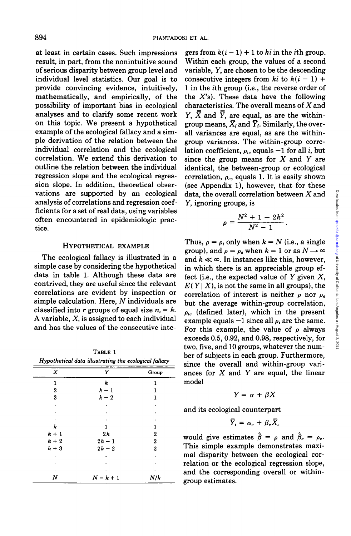at least in certain cases. Such impressions result, in part, from the nonintuitive sound of serious disparity between group level and individual level statistics. Our goal is to provide convincing evidence, intuitively, mathematically, and empirically, of the possibility of important bias in ecological analyses and to clarify some recent work on this topic. We present a hypothetical example of the ecological fallacy and a simple derivation of the relation between the individual correlation and the ecological correlation. We extend this derivation to outline the relation between the individual regression slope and the ecological regression slope. In addition, theoretical observations are supported by an ecological analysis of correlations and regression coefficients for a set of real data, using variables often encountered in epidemiologic practice.

## HYPOTHETICAL EXAMPLE

The ecological fallacy is illustrated in a simple case by considering the hypothetical data in table 1. Although these data are contrived, they are useful since the relevant correlations are evident by inspection or simple calculation. Here, *N* individuals are classified into r groups of equal size  $n_i = k$ . A variable, *X,* is assigned to each individual and has the values of the consecutive inte-

TABLE l *Hypothetical data illustrating the ecological fallacy*

| . .              |         |                  |
|------------------|---------|------------------|
| $\boldsymbol{X}$ | Υ       | Group            |
| 1                | k       |                  |
| $\boldsymbol{2}$ | $k-1$   |                  |
| 3                | $k-2$   | 1                |
|                  |         |                  |
|                  |         |                  |
|                  |         |                  |
| k                |         | 1                |
| $k+1$            | 2k      | $\boldsymbol{2}$ |
| $k+2$            | $2k-1$  | $\boldsymbol{2}$ |
| $k+3$            | $2k-2$  | $\mathbf{2}$     |
|                  |         |                  |
|                  |         |                  |
|                  |         |                  |
| N                | $N-k+1$ | N/k              |

gers from  $k(i - 1) + 1$  to ki in the *i*th group. Within each group, the values of a second variable, Y, are chosen to be the descending consecutive integers from  $ki$  to  $k(i - 1)$  + 1 in the ith group (i.e., the reverse order of the *X's).* These data have the following characteristics. The overall means of *X* and  $Y$ ,  $\overline{X}$  and  $\overline{Y}$ , are equal, as are the withingroup means,  $\bar{X}_i$  and  $\bar{Y}_i$ . Similarly, the overall variances are equal, as are the withingroup variances. The within-group correlation coefficient,  $\rho_i$ , equals  $-1$  for all *i*, but since the group means for *X* and Y are identical, the between-group or ecological correlation,  $\rho_e$ , equals 1. It is easily shown (see Appendix 1), however, that for these data, the overall correlation between *X* and Y, ignoring groups, is

$$
\rho = \frac{N^2 + 1 - 2k^2}{N^2 - 1}
$$

Thus,  $\rho = \rho_i$  only when  $k = N$  (i.e., a single group), and  $\rho = \rho_e$  when  $k = 1$  or as  $N \rightarrow \infty$ and  $k \ll \infty$ . In instances like this, however, in which there is an appreciable group effect (i.e., the expected value of Y given *X,*  $E(Y|X)$ , is not the same in all groups), the correlation of interest is neither  $\rho$  nor  $\rho_e$ but the average within-group correlation,  $\rho_w$  (defined later), which in the present example equals  $-1$  since all  $\rho_i$  are the same. For this example, the value of  $\rho$  always exceeds 0.5, 0.92, and 0.98, respectively, for two, five, and 10 groups, whatever the number of subjects in each group. Furthermore, since the overall and within-group variances for *X* and Y are equal, the linear model

$$
Y = \alpha + \beta X
$$

and its ecological counterpart

$$
\overline{Y}_i = \alpha_e + \beta_e \overline{X}_i
$$

would give estimates  $\hat{\beta} = \rho$  and  $\hat{\beta}_e = \rho_e$ . This simple example demonstrates maximal disparity between the ecological correlation or the ecological regression slope, and the corresponding overall or withingroup estimates.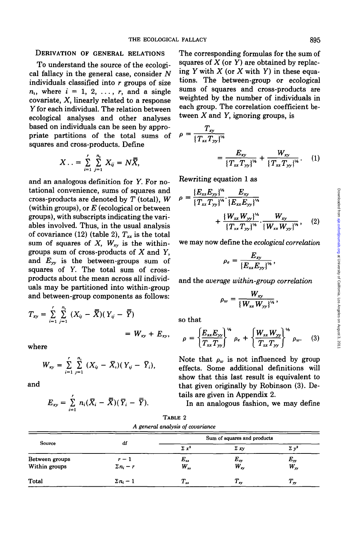## DERIVATION OF GENERAL RELATIONS

To understand the source of the ecological fallacy in the general case, consider *N* individuals classified into *r* groups of size  $n_i$ , where  $i = 1, 2, \ldots, r$ , and a single covariate, *X,* linearly related to a response Y for each individual. The relation between ecological analyses and other analyses based on individuals can be seen by appropriate partitions of the total sums of squares and cross-products. Define

$$
X\ldots=\sum_{i=1}^r\sum_{j=1}^{n_i}X_{ij}=N\bar{\bar{X}},
$$

and an analogous definition for Y. For notational convenience, sums of squares and cross-products are denoted by *T* (total), *W* (within groups), or *E* (ecological or between groups), with subscripts indicating the variables involved. Thus, in the usual analysis of covariance (12) (table 2),  $T_{xx}$  is the total sum of squares of  $X$ ,  $W_{xy}$  is the withingroups sum of cross-products of *X* and Y, and  $E_{yy}$  is the between-groups sum of squares of Y. The total sum of crossproducts about the mean across all individuals may be partitioned into within-group and between-group components as follows:

$$
T_{xy} = \sum_{i=1}^{r} \sum_{j=1}^{n_i} (X_{ij} - \overline{\overline{X}})(Y_{ij} - \overline{\overline{Y}})
$$
  
=  $W_{xy} + E_{xy}$ 

where

$$
W_{xy} = \sum_{i=1}^r \sum_{j=1}^{n_i} (X_{ij} - \bar{X}_i)(Y_{ij} - \bar{Y}_i),
$$

and

$$
E_{xy}=\sum_{i=1}^r n_i(\bar{X}_i-\bar{\bar{X}})(\bar{Y}_i-\bar{\bar{Y}}).
$$

The corresponding formulas for the sum of squares of  $X$  (or  $Y$ ) are obtained by replacing Y with *X* (or *X* with Y) in these equations. The between-group or ecological sums of squares and cross-products are weighted by the number of individuals in each group. The correlation coefficient between *X* and Y, ignoring groups, is

$$
\rho = \frac{T_{xy}}{\{T_{xx}T_{yy}\}^{\nu_2}} = \frac{E_{xy}}{\{T_{xx}T_{yy}\}^{\nu_2}} + \frac{W_{xy}}{\{T_{xx}T_{yy}\}^{\nu_2}}.
$$
 (1)

Rewriting equation 1 as

$$
\rho = \frac{\{E_{xx}E_{yy}\}^{34}}{\{T_{xx}T_{yy}\}^{34}} \cdot \frac{E_{xy}}{\{E_{xx}E_{yy}\}^{34}}
$$

$$
+ \frac{\{W_{xx}W_{yy}\}^{34}}{\{T_{xx}T_{yy}\}^{34}} \cdot \frac{W_{xy}}{\{W_{xx}W_{yy}\}^{34}}, \quad (2)
$$

we may now define the *ecological correlation*

$$
\rho_e = \frac{E_{xy}}{\left\{E_{xx}E_{yy}\right\}^{\nu_a}},
$$

and the *average within-group correlation*

$$
\rho_w = \frac{W_{xy}}{\left\{W_{xx}W_{yy}\right\}^{V_2}},
$$

so that

$$
\rho = \left\{ \frac{E_{xx} E_{yy}}{T_{xx} T_{yy}} \right\}^{\nu_2} \rho_e + \left\{ \frac{W_{xx} W_{yy}}{T_{xx} T_{yy}} \right\}^{\nu_2} \rho_w. \quad (3)
$$

Note that  $\rho_w$  is not influenced by group effects. Some additional definitions will show that this last result is equivalent to that given originally by Robinson (3). Details are given in Appendix 2.

In an analogous fashion, we may define

|  | TABLE 2 |                                  |
|--|---------|----------------------------------|
|  |         | A general analysis of covariance |

|                |                | is general analysis of coodinaince |                             |                |  |
|----------------|----------------|------------------------------------|-----------------------------|----------------|--|
|                |                |                                    | Sum of squares and products |                |  |
| Source         | df             | $\Sigma x^2$                       | $\Sigma$ xy                 | $\Sigma$ $y^2$ |  |
| Between groups | $r-1$          | $E_{xx}$                           | $E_{xy}$                    | $E_{\rm{yy}}$  |  |
| Within groups  | $\sum n_i - r$ | $W_{xx}$                           | $W_{xy}$                    | $W_{yy}$       |  |
| Total          | $\sum n_i-1$   | $T_{xx}$                           | $T_{xy}$                    | $T_{\rm{w}}$   |  |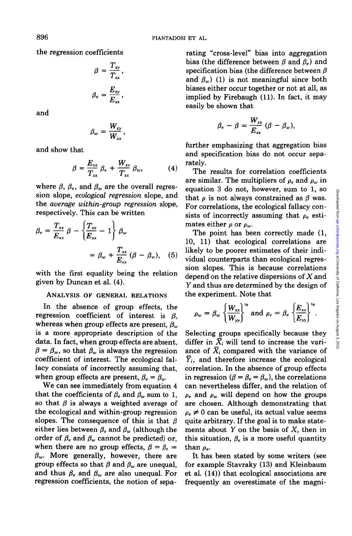the regression coefficients

$$
\beta = \frac{T_{xy}}{T_{xx}},
$$

$$
\beta_e = \frac{E_{xy}}{E_{xx}},
$$

and

$$
\beta_w = \frac{W_{xy}}{W_{xx}},
$$

and show that

$$
\beta = \frac{E_{xx}}{T_{xx}} \beta_e + \frac{W_{xx}}{T_{xx}} \beta_w, \qquad (4)
$$

where  $\beta$ ,  $\beta_e$ , and  $\beta_w$  are the overall regression slope, *ecological regression* slope, and the *average within-group regression* slope, respectively. This can be written

$$
\beta_e = \frac{T_{xx}}{E_{xx}} \beta - \left\{ \frac{T_{xx}}{E_{xx}} - 1 \right\} \beta_w
$$

$$
= \beta_w + \frac{T_{xx}}{E_{xx}} (\beta - \beta_w), \quad (5)
$$

with the first equality being the relation given by Duncan et al. (4).

## ANALYSIS OF GENERAL RELATIONS

In the absence of group effects, the regression coefficient of interest is *0,* whereas when group effects are present,  $\beta_w$ is a more appropriate description of the data. In fact, when group effects are absent,  $\beta = \beta_w$ , so that  $\beta_w$  is always the regression coefficient of interest. The ecological fallacy consists of incorrectly assuming that, when group effects are present,  $\beta_e = \beta_w$ .

We can see immediately from equation 4 that the coefficients of  $\beta_e$  and  $\beta_w$  sum to 1, so that  $\beta$  is always a weighted average of the ecological and within-group regression slopes. The consequence of this is that *p* either lies between  $\beta_e$  and  $\beta_w$  (although the order of  $\beta_e$  and  $\beta_w$  cannot be predicted) or, when there are no group effects,  $\beta = \beta_e =$  $\beta_w$ . More generally, however, there are group effects so that  $\beta$  and  $\beta_w$  are unequal, and thus  $\beta_e$  and  $\beta_w$  are also unequal. For regression coefficients, the notion of sepa-

rating "cross-level" bias into aggregation bias (the difference between  $\beta$  and  $\beta_e$ ) and specification bias (the difference between *P* and  $\beta_w$ ) (1) is not meaningful since both biases either occur together or not at all, as implied by Firebaugh (11). In fact, it may easily be shown that

$$
\beta_e - \beta = \frac{W_{xx}}{E_{xx}} (\beta - \beta_w),
$$

further emphasizing that aggregation bias and specification bias do not occur separately.

The results for correlation coefficients are similar. The multipliers of  $\rho_e$  and  $\rho_w$  in equation 3 do not, however, sum to 1, so that  $\rho$  is not always constrained as  $\beta$  was. For correlations, the ecological fallacy consists of incorrectly assuming that  $\rho_e$  estimates either  $\rho$  or  $\rho_w$ .

The point has been correctly made (1, 10, 11) that ecological correlations are likely to be poorer estimates of their individual counterparts than ecological regression slopes. This is because correlations depend on the relative dispersions of *X* and *Y* and thus are determined by the design of the experiment. Note that

$$
\rho_w = \beta_w \left\{ \frac{W_{xx}}{W_{yy}} \right\}^{\nu_s}
$$
 and  $\rho_e = \beta_e \left\{ \frac{E_{xx}}{E_{yy}} \right\}^{\nu_s}$ .

Selecting groups specifically because they differ in  $\bar{X}_i$  will tend to increase the variance of  $\bar{X}_i$  compared with the variance of  $\overline{Y}_i$ , and therefore increase the ecological correlation. In the absence of group effects in regression  $(\beta = \beta_e = \beta_w)$ , the correlations can nevertheless differ, and the relation of  $\rho_e$  and  $\rho_w$  will depend on how the groups are chosen. Although demonstrating that  $\rho_e \neq 0$  can be useful, its actual value seems quite arbitrary. If the goal is to make statements about *Y* on the basis of *X,* then in this situation,  $\beta_e$  is a more useful quantity than  $\rho_e$ .

It has been stated by some writers (see for example Stavraky (13) and Kleinbaum et al. (14)) that ecological associations are frequently an overestimate of the magni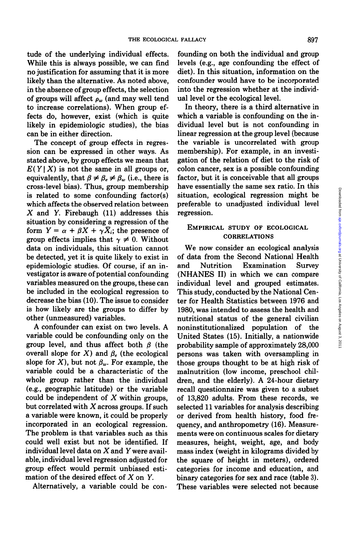tude of the underlying individual effects. While this is always possible, we can find no justification for assuming that it is more likely than the alternative. As noted above, in the absence of group effects, the selection of groups will affect  $\rho_w$  (and may well tend to increase correlations). When group effects do, however, exist (which is quite likely in epidemiologic studies), the bias can be in either direction.

The concept of group effects in regression can be expressed in other ways. As stated above, by group effects we mean that  $E(Y|X)$  is not the same in all groups or, equivalently, that  $\beta \neq \beta_e \neq \beta_w$  (i.e., there is cross-level bias). Thus, group membership is related to some confounding factor(s) which affects the observed relation between *X* and Y. Firebaugh (11) addresses this situation by considering a regression of the form  $Y = \alpha + \beta X + \gamma \bar{X}_i$ ; the presence of group effects implies that  $\gamma \neq 0$ . Without data on individuals, this situation cannot be detected, yet it is quite likely to exist in epidemiologic studies. Of course, if an investigator is aware of potential confounding variables measured on the groups, these can be included in the ecological regression to decrease the bias (10). The issue to consider is how likely are the groups to differ by other (unmeasured) variables.

A confounder can exist on two levels. A variable could be confounding only on the group level, and thus affect both  $\beta$  (the overall slope for X) and  $\beta_e$  (the ecological slope for X), but not  $\beta_w$ . For example, the variable could be a characteristic of the whole group rather than the individual (e.g., geographic latitude) or the variable could be independent of *X* within groups, but correlated with *X* across groups. If such a variable were known, it could be properly incorporated in an ecological regression. The problem is that variables such as this could well exist but not be identified. If individual level data on *X* and *Y* were available, individual level regression adjusted for group effect would permit unbiased estimation of the desired effect of *X* on *Y.*

Alternatively, a variable could be con-

founding on both the individual and group levels (e.g., age confounding the effect of diet). In this situation, information on the confounder would have to be incorporated into the regression whether at the individual level or the ecological level.

In theory, there is a third alternative in which a variable is confounding on the individual level but is not confounding in linear regression at the group level (because the variable is uncorrelated with group membership). For example, in an investigation of the relation of diet to the risk of colon cancer, sex is a possible confounding factor, but it is conceivable that all groups have essentially the same sex ratio. In this situation, ecological regression might be preferable to unadjusted individual level regression.

# EMPIRICAL STUDY OF ECOLOGICAL CORRELATIONS

We now consider an ecological analysis of data from the Second National Health and Nutrition Examination Survey (NHANES II) in which we can compare individual level and grouped estimates. This study, conducted by the National Center for Health Statistics between 1976 and 1980, was intended to assess the health and nutritional status of the general civilian noninstitutionalized population of the United States (15). Initially, a nationwide probability sample of approximately 28,000 persons was taken with oversampling in those groups thought to be at high risk of malnutrition (low income, preschool children, and the elderly). A 24-hour dietary recall questionnaire was given to a subset of 13,820 adults. From these records, we selected 11 variables for analysis describing or derived from health history, food frequency, and anthropometry (16). Measurements were on continuous scales for dietary measures, height, weight, age, and body mass index (weight in kilograms divided by the square of height in meters), ordered categories for income and education, and binary categories for sex and race (table 3). These variables were selected not because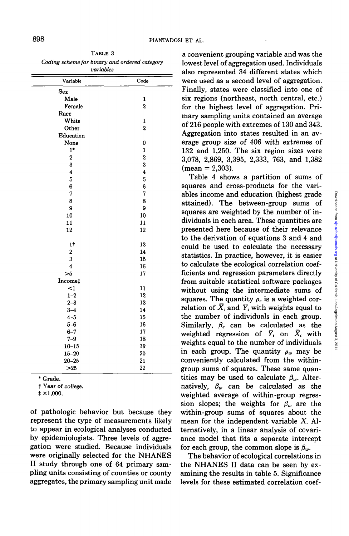TABLE 3

|  | Coding scheme for binary and ordered category |  |
|--|-----------------------------------------------|--|
|  | variables                                     |  |

| Variable                | Code                    |
|-------------------------|-------------------------|
| Sex                     |                         |
| Male                    | 1                       |
| Female                  | $\overline{c}$          |
| Race                    |                         |
| White                   | $\mathbf{1}$            |
| Other                   | $\overline{2}$          |
| Education               |                         |
| None                    | 0                       |
| $1*$                    | 1                       |
| $\mathbf 2$             | $\overline{c}$          |
| 3                       | 3                       |
| $\overline{\mathbf{4}}$ | $\overline{\mathbf{4}}$ |
| 5                       | 5                       |
| 6                       | 6                       |
| 7                       | 7                       |
| 8                       | 8                       |
| 9                       | 9                       |
| 10                      | 10                      |
| 11                      | 11                      |
| 12                      | 12                      |
| $1\dagger$              | 13                      |
| $\boldsymbol{2}$        | 14                      |
| 3                       | 15                      |
| $\overline{\mathbf{4}}$ | 16                      |
| >5                      | 17                      |
| Income‡                 |                         |
| $\leq1$                 | 11                      |
| $1 - 2$                 | 12                      |
| $2 - 3$                 | 13                      |
| $3 - 4$                 | 14                      |
| $4 - 5$                 | 15                      |
| $5 - 6$                 | 16                      |
|                         | 17                      |
| $6 - 7$                 | 18                      |
| $7 - 9$<br>$10 - 15$    | 19                      |
|                         | 20                      |
| $15 - 20$               |                         |
| $20 - 25$               | 21                      |
| >25                     | 22                      |

\* Grade.

t Year of college.

 $\sharp$  ×1,000.

of pathologic behavior but because they represent the type of measurements likely to appear in ecological analyses conducted by epidemiologists. Three levels of aggregation were studied. Because individuals were originally selected for the NHANES II study through one of 64 primary sampling units consisting of counties or county aggregates, the primary sampling unit made

a convenient grouping variable and was the lowest level of aggregation used. Individuals also represented 34 different states which were used as a second level of aggregation. Finally, states were classified into one of six regions (northeast, north central, etc.) for the highest level of aggregation. Primary sampling units contained an average of 216 people with extremes of 130 and 343. Aggregation into states resulted in an average group size of 406 with extremes of 132 and 1,250. The six region sizes were 3,078, 2,869, 3,395, 2,333, 763, and 1,382  $(mean = 2.303)$ .

Table 4 shows a partition of sums of squares and cross-products for the variables income and education (highest grade attained). The between-group sums of squares are weighted by the number of individuals in each area. These quantities are presented here because of their relevance to the derivation of equations 3 and 4 and could be used to calculate the necessary statistics. In practice, however, it is easier to calculate the ecological correlation coefficients and regression parameters directly from suitable statistical software packages without using the intermediate sums of squares. The quantity  $\rho_e$  is a weighted correlation of  $\overline{X}_i$  and  $\overline{Y}_i$  with weights equal to the number of individuals in each group. Similarly,  $\beta_e$  can be calculated as the weighted regression of  $\overline{Y}_i$  on  $\overline{X}_i$  with weights equal to the number of individuals in each group. The quantity  $\rho_w$  may be conveniently calculated from the withingroup sums of squares. These same quantities may be used to calculate  $\beta_w$ . Alternatively,  $\beta_w$  can be calculated as the weighted average of within-group regression slopes; the weights for  $\beta_w$  are the within-group sums of squares about the mean for the independent variable X. Alternatively, in a linear analysis of covariance model that fits a separate intercept for each group, the common slope is  $\beta_w$ .

The behavior of ecological correlations in the NHANES II data can be seen by examining the results in table 5. Significance levels for these estimated correlation coef-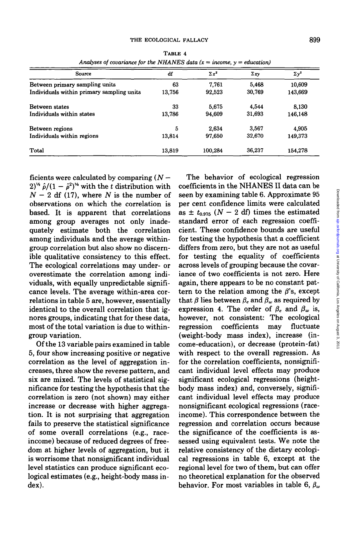| Source                                    | df     | $\Sigma x^2$ | $\Sigma$ xy | $\Sigma y^2$ |
|-------------------------------------------|--------|--------------|-------------|--------------|
| Between primary sampling units            | 63     | 7.761        | 5.468       | 10,609       |
| Individuals within primary sampling units | 13.756 | 92.523       | 30,769      | 143,669      |
| Between states                            | 33     | 5.675        | 4,544       | 8.130        |
| Individuals within states                 | 13.786 | 94,609       | 31,693      | 146,148      |
| Between regions                           | 5      | 2.634        | 3,567       | 4,905        |
| Individuals within regions                | 13,814 | 97,650       | 32,670      | 149,373      |
| Total                                     | 13,819 | 100.284      | 36,237      | 154,278      |
|                                           |        |              |             |              |

TABLE 4 *Analyses of covariance for the NHANES data (* $x = income$ *,*  $y = education$ *)* 

ficients were calculated by comparing *{N —*  $(2)^{1/2} \hat{\rho}/(1-\hat{\rho}^2)^{1/2}$  with the *t* distribution with  $N-2$  df (17), where  $N$  is the number of observations on which the correlation is based. It is apparent that correlations among group averages not only inadequately estimate both the correlation among individuals and the average withingroup correlation but also show no discernible qualitative consistency to this effect. The ecological correlations may under- or overestimate the correlation among individuals, with equally unpredictable significance levels. The average within-area correlations in table 5 are, however, essentially identical to the overall correlation that ignores groups, indicating that for these data, most of the total variation is due to withingroup variation.

Of the 13 variable pairs examined in table 5, four show increasing positive or negative correlation as the level of aggregation increases, three show the reverse pattern, and six are mixed. The levels of statistical significance for testing the hypothesis that the correlation is zero (not shown) may either increase or decrease with higher aggregation. It is not surprising that aggregation fails to preserve the statistical significance of some overall correlations (e.g., raceincome) because of reduced degrees of freedom at higher levels of aggregation, but it is worrisome that nonsignificant individual level statistics can produce significant ecological estimates (e.g., height-body mass index).

The behavior of ecological regression coefficients in the NHANES II data can be seen by examining table 6. Approximate 95 per cent confidence limits were calculated as  $\pm t_{0.975}$  ( $N-2$  df) times the estimated standard error of each regression coefficient. These confidence bounds are useful for testing the hypothesis that a coefficient differs from zero, but they are not as useful for testing the equality of coefficients across levels of grouping because the covariance of two coefficients is not zero. Here again, there appears to be no constant pattern to the relation among the  $\beta$ 's, except that  $\beta$  lies between  $\beta_e$  and  $\beta_w$  as required by expression 4. The order of  $\beta_e$  and  $\beta_w$  is, however, not consistent: The ecological regression coefficients may fluctuate (weight-body mass index), increase (income-education), or decrease (protein-fat) with respect to the overall regression. As for the correlation coefficients, nonsignificant individual level effects may produce significant ecological regressions (heightbody mass index) and, conversely, significant individual level effects may produce nonsignificant ecological regressions (raceincome). This correspondence between the regression and correlation occurs because the significance of the coefficients is assessed using equivalent tests. We note the relative consistency of the distance coologirelative consistency of the dietary ecological regressions in table 6, except at the regional level for two of them, but can offer no theoretical explanation for the observed<br>behavior. For most variables in table 6,  $\beta_w$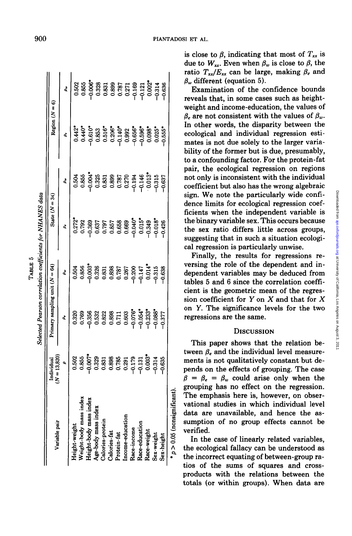| ۵٥     |  |
|--------|--|
| L<br>ĵ |  |
| ¢<br>ı |  |
|        |  |
| ٢      |  |

| Variable pair          | $N = 13,820$<br>ndividua                                                                                                                                                                                                                                                                            | Primary sampling unit $(N = 64)$ |                                                                                                       | State $(N = 34)$                                      |                                                                                                                          | Region $(N = 6)$                                                                                                                                                     |          |
|------------------------|-----------------------------------------------------------------------------------------------------------------------------------------------------------------------------------------------------------------------------------------------------------------------------------------------------|----------------------------------|-------------------------------------------------------------------------------------------------------|-------------------------------------------------------|--------------------------------------------------------------------------------------------------------------------------|----------------------------------------------------------------------------------------------------------------------------------------------------------------------|----------|
|                        | ٩                                                                                                                                                                                                                                                                                                   | ¢                                | å                                                                                                     | å,                                                    | L                                                                                                                        | ¢                                                                                                                                                                    | d        |
| Height-weight          |                                                                                                                                                                                                                                                                                                     |                                  |                                                                                                       |                                                       |                                                                                                                          |                                                                                                                                                                      |          |
| Weight-body mass index |                                                                                                                                                                                                                                                                                                     |                                  |                                                                                                       | $\frac{0.272^*}{0.792}$                               |                                                                                                                          |                                                                                                                                                                      |          |
| Height-body mass index | $\begin{array}{l} 28.685 \\ 6.856 \\ 6.916 \\ 7.323 \\ 8.333 \\ 9.833 \\ 9.833 \\ 9.833 \\ 9.833 \\ 9.833 \\ 9.833 \\ 9.833 \\ 9.833 \\ 9.833 \\ 9.833 \\ 9.833 \\ 9.833 \\ 9.833 \\ 9.833 \\ 9.833 \\ 9.833 \\ 9.833 \\ 9.833 \\ 9.833 \\ 9.833 \\ 9.833 \\ 9.833 \\ 9.833 \\ 9.833 \\ 9.833 \\ 9$ |                                  | $0.504$<br>$0.856$<br>$0.003$                                                                         | $-0.369$<br>0.637<br>0.797<br>0.658<br>0.669<br>0.040 | $0.504$<br>$0.855$<br>$-0.004$                                                                                           | $-3.442$<br>$-3.440$<br>$-3.610$<br>$-3.610$<br>$-3.610$<br>$-3.610$<br>$-3.610$<br>$-3.610$<br>$-3.610$<br>$-3.610$<br>$-3.610$<br>$-3.610$<br>$-3.610$<br>$-3.610$ |          |
| Age-body mass index    |                                                                                                                                                                                                                                                                                                     |                                  |                                                                                                       |                                                       |                                                                                                                          |                                                                                                                                                                      |          |
| Calories-protein       |                                                                                                                                                                                                                                                                                                     |                                  |                                                                                                       |                                                       |                                                                                                                          |                                                                                                                                                                      |          |
| Calories-fat           |                                                                                                                                                                                                                                                                                                     |                                  |                                                                                                       |                                                       |                                                                                                                          |                                                                                                                                                                      |          |
| Protein-fat            |                                                                                                                                                                                                                                                                                                     |                                  | $\begin{array}{l} 6336 \\ 0333 \\ 0334 \\ 0365 \\ 0366 \\ 0367 \\ 0360 \\ 0360 \\ \hline \end{array}$ |                                                       | $\begin{array}{c} 0.325 \\ 0.831 \\ 0.839 \\ 0.898 \\ 0.787 \\ 0.270 \\ 0.146 \\ 0.013 \\ 0.013 \\ 0.013 \\ \end{array}$ |                                                                                                                                                                      |          |
| Income-education       |                                                                                                                                                                                                                                                                                                     |                                  |                                                                                                       |                                                       |                                                                                                                          |                                                                                                                                                                      |          |
| Race-income            |                                                                                                                                                                                                                                                                                                     |                                  |                                                                                                       |                                                       |                                                                                                                          |                                                                                                                                                                      |          |
| Race-education         |                                                                                                                                                                                                                                                                                                     | $-0.054*$                        |                                                                                                       |                                                       |                                                                                                                          |                                                                                                                                                                      |          |
| Race-weight            |                                                                                                                                                                                                                                                                                                     | $-0.233*$                        |                                                                                                       | $0.015*$                                              |                                                                                                                          | $-0.596$<br>$0.098$<br>$0.025$ <sup>+</sup>                                                                                                                          |          |
| Sex-weight             |                                                                                                                                                                                                                                                                                                     | $-0.088$ <sup>+</sup>            |                                                                                                       | $-0.018*$                                             |                                                                                                                          |                                                                                                                                                                      |          |
| Sex-height             | $-0.635$                                                                                                                                                                                                                                                                                            | $-0.377$                         |                                                                                                       | $-0.426$                                              | $-0.637$                                                                                                                 | $-0.555*$                                                                                                                                                            | $-0.314$ |

is close to  $\beta$ , indicating that most of  $T_{xx}$  is due to  $W_{xx}$ . Even when  $\beta_w$  is close to  $\beta$ , the ratio  $T_{xx}/E_{xx}$  can be large, making  $\beta_e$  and  $\beta_w$  different (equation 5).

Examination of the confidence bounds reveals that, in some cases such as heightweight and income-education, the values of  $\beta_e$  are not consistent with the values of  $\beta_w$ . In other words, the disparity between the ecological and individual regression estimates is not due solely to the larger variability of the former but is due, presumably, to a confounding factor. For the protein-fat pair, the ecological regression on regions not only is inconsistent with the individual coefficient but also has the wrong algebraic sign. We note the particularly wide confidence limits for ecological regression coefficients when the independent variable is the binary variable sex. This occurs because the sex ratio differs little across groups, suggesting that in such a situation ecological regression is particularly unwise.

Finally, the results for regressions reversing the role of the dependent and independent variables may be deduced from tables 5 and 6 since the correlation coefficient is the geometric mean of the regression coefficient for *Y* on *X* and that for *X* on Y. The significance levels for the two regressions are the same.

Downloaded from aje.oxfordjournals.org at University of California, Los Angeles on August 3, 2011 at University of California, Los Angeles on August 3, 2011 [aje.oxfordjournals.org](http://aje.oxfordjournals.org/) Downloaded from

## **DISCUSSION**

This paper shows that the relation between  $\beta_e$  and the individual level measurements is not qualitatively constant but depends on the effects of grouping. The case  $\beta = \beta_e = \beta_w$  could arise only when the grouping has no effect on the regression. The emphasis here is, however, on observational studies in which individual level data are unavailable, and hence the assumption of no group effects cannot be verified.

In the case of linearly related variables, the ecological fallacy can be understood as the incorrect equating of between-group ratios of the sums of squares and crossproducts with the relations between the totals (or within groups). When data are

 $p > 0.05$  (nonsignificant).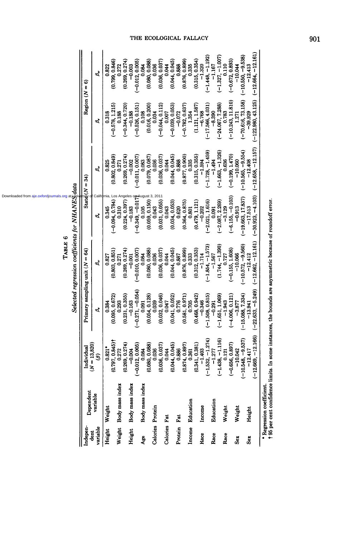|                  |                        |                                 |                              | Selected regression coefficients for NHANES data<br>TABLE 6 |                                |                                                       |                                                        |                                |
|------------------|------------------------|---------------------------------|------------------------------|-------------------------------------------------------------|--------------------------------|-------------------------------------------------------|--------------------------------------------------------|--------------------------------|
| Indepen-         | Dependent              | Individual                      |                              | Primary sampling unit $(N = 64)$                            |                                | Stat $\mathcal{E}(N=34)$                              | Region $(N = 6)$                                       |                                |
| variable<br>dent | variable               | $N = 13,820$<br>$\widehat{e}$   | ď,                           | d.                                                          | ¢,                             | ď,                                                    | ન્ડે                                                   |                                |
| Height           | Weight                 | $0.821*$                        | 0.384                        | 0.827                                                       | 0.345                          | 0.825                                                 | 0.318                                                  | 0.822                          |
|                  | Weight Body mass index | (0.797, 0.845)<br>0.272         | (0.095, 0.672)               | (0.803, 0.851)                                              | $-0.094, 0.784$<br>0.310       | (0.802, 0.849)                                        | $-0.578, 1.215$                                        | 0.799, 0.846                   |
|                  |                        | (0.269, 0.274)                  | (0.231, 0.355)               | (0.269, 0.274)                                              | (0.224, 0.397)                 | (0.269, 0.274)                                        | $-0.344, 0.720$                                        | (0.269, 0.274)                 |
| Height           | Body mass index        | $(-0.012, 0.005)$<br>$-0.004$   | $-0.271, -0.054$<br>$-0.163$ | $(-0.010, 0.007)$<br>$-0.001$                               | $-0.349, -0.017$<br>$-0.183$   | $-0.011, 0.007$<br>$-0.002$                           | $-0.188$                                               |                                |
| Lee              | Body mass index        | 0.084                           | 0.091                        | 0.084                                                       | 0.105                          |                                                       | $(-0.526, 0.151)$<br>0.108                             | $(-0.012, 0.005)$<br>0.084     |
|                  |                        | (0.080, 0.088)                  | (0.054, 0.128)               | (0.080, 0.088)                                              | (0.059, 0.150)                 | (0.079, 0.087)                                        | (0.016, 0.200)                                         | (0.080, 0.088)                 |
| Calories Protein |                        | (0.036, 0.037)<br>0.036         | (0.032, 0.046)<br>0.039      | (0.036, 0.037)<br>0.036                                     | (0.031, 0.055)<br>0.043        | (0.036, 0.037)<br>0.036                               | $(-0.044, 0.112)$<br>0.034                             | (0.036, 0.037)<br>0.036        |
| Calories Fat     |                        | 0.044                           | 0.047                        | 0.044                                                       | 0.043                          | 0.044                                                 | 0.007                                                  | 0.044                          |
| Protein          | Fat                    | (0.044, 0.045)<br>0.886         | (0.041, 0.052)<br>0.776      | (0.044, 0.045)<br>0.887                                     | (0.034, 0.053)<br>0.620        | (0.044, 0.045)<br>0.888                               | $(-0.039, 0.053)$<br>$-0.072$                          | (0.044, 0.045)<br>0.888        |
|                  |                        | $(0.874, 0.897)$ $0.361$        | (0.581, 0.971)<br>0.705      | (0.876, 0.899)<br>0.333                                     | (0.364, 0.875)<br>0.801        | (0.877, 0.900)<br>0.335                               | $(-0.782, 0.637)$<br>1.354                             | (0.876, 0.899)<br>0.335        |
|                  | Income Education       | (0.341, 0.381)                  | (0.468, 0.942)               | (0.312, 0.353)                                              | (0.479, 1.121)                 | (0.315, 0.355)                                        | (1.121, 1.587)                                         | (0.315, 0.354)                 |
| Race             | Income                 | $-1.403$                        | $-0.346$                     | $-1.714$                                                    | $-0.202$                       | $-1.594$<br>$(-1.728, -1.459)$                        | $-6.768$<br>$(-17.566, 4.031)$                         | $-1.320$                       |
| Race             | Education              | $-1.532, -1.274$<br>$-1.277$    | $-1.508, 0.815$<br>$-0.291$  | $-1.854, -1.573$<br>$-1.567$                                | $-2.021, 1.616$<br>0.091       | $-1.494$                                              | $-8.390$                                               | $-1.448, -1.192$<br>$-1.167$   |
|                  |                        | $(-1.438, -1.116)$<br>0.121     | $(-1.651, 1.069)$            | $(1.744, -1.390)$                                           | $(-2.087, 2.269)$              | $(-1.663, -1.326)$                                    | $(-24.067, 7.288)$                                     | $(-1.327, -1.007)$             |
| Race             | Weight                 | $(-0.656, 0.897)$               | $-4.006, 0.121$<br>$-1.943$  | $(-0.155, 1.608)$<br>0.727                                  | $(-6.155, -0.103)$<br>$-3.129$ | $(-0.199, 1.470)$<br>0.636                            | 0.783                                                  | $(-0.672, 0.893)$<br>0.110     |
| Sex              | Weight                 | $-10.548, -9.537$<br>$-10.042$  | $-15.088, 7.334$<br>$-3.877$ | $(-10.572, -9.560)$<br>$-10.066$                            | $-19.663, 17.837$<br>$-0.913$  | $(-10.565, -9.554)$<br>$-10.060$                      | $-70.616, 73.158$<br>$(-10.243, 11.810)$<br>$1.271$    | $-10.550, -9.538$<br>$-10.044$ |
| Sex              | Height                 | $-12.669, -12.166$<br>$-12.417$ | $-13.941$                    | $(-22.633, -5.249)$ $(-12.662, -12.161)$<br>$-12.412$       | $-17.513$                      | $(-30.923, -4.103)$ $(-12.658, -12.157)$<br>$-12.408$ | $(-122.980, 43.125)$ $(-12.664, -12.161)$<br>$-39.929$ | $-12.413$                      |

**\* Regression coefficient.**

\* Regression coefficient.<br>† 95 per cent confidence limits. In some instances, the bounds are asymmetric because of roundoff error. **195 per cent confidence limits. In some instances, the bounds are asymmetric because of roundoff error.**

**ECOLOGICAL FALLACY**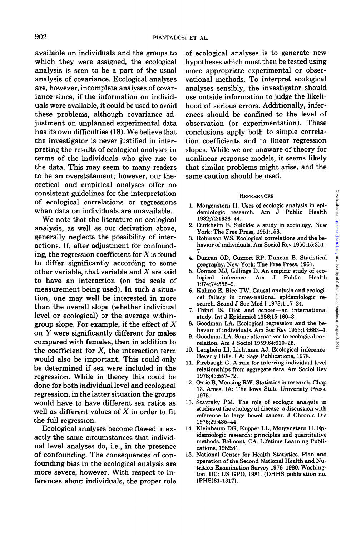available on individuals and the groups to which they were assigned, the ecological analysis is seen to be a part of the usual analysis of covariance. Ecological analyses are, however, incomplete analyses of covariance since, if the information on individuals were available, it could be used to avoid these problems, although covariance adjustment on unplanned experimental data has its own difficulties (18). We believe that the investigator is never justified in interpreting the results of ecological analyses in terms of the individuals who give rise to the data. This may seem to many readers to be an overstatement; however, our theoretical and empirical analyses offer no consistent guidelines for the interpretation of ecological correlations or regressions when data on individuals are unavailable.

We note that the literature on ecological analysis, as well as our derivation above, generally neglects the possibility of interactions. If, after adjustment for confounding, the regression coefficient for *X* is found to differ significantly according to some other variable, that variable and *X* are said to have an interaction (on the scale of measurement being used). In such a situation, one may well be interested in more than the overall slope (whether individual level or ecological) or the average withingroup slope. For example, if the effect of *X* on *Y* were significantly different for males compared with females, then in addition to the coefficient for *X,* the interaction term would also be important. This could only be determined if sex were included in the regression. While in theory this could be done for both individual level and ecological regression, in the latter situation the groups would have to have different sex ratios as well as different values of *X* in order to fit the full regression.

Ecological analyses become flawed in exactly the same circumstances that individual level analyses do, i.e., in the presence of confounding. The consequences of confounding bias in the ecological analysis are more severe, however. With respect to inferences about individuals, the proper role of ecological analyses is to generate new hypotheses which must then be tested using more appropriate experimental or observational methods. To interpret ecological analyses sensibly, the investigator should use outside information to judge the likelihood of serious errors. Additionally, inferences should be confined to the level of observation (or experimentation). These conclusions apply both to simple correlation coefficients and to linear regression slopes. While we are unaware of theory for nonlinear response models, it seems likely that similar problems might arise, and the same caution should be used.

#### **REFERENCES**

- 1. Morgenstern H. Uses of ecologic analysis in epidemiologic research. Am J Public Health 1982;72:1336-44.
- 2. Durkheim E. Suicide: a study in sociology. New York: The Free Press, 1951:153.
- 3. Robinson WS. Ecological correlations and the behavior of individuals. Am Sociol Rev 1950;15:351- 7.
- 4. Duncan OD, Cuzzort RP, Duncan B. Statistical geography. New York: The Free Press, 1961.
- 5. Connor MJ, Gillings D. An empiric study of eco-<br>logical inference. Am J Public Health inference. 1974;74:555-9.
- 6. Kalimo E, Bice TW. Causal analysis and ecological fallacy in cross-national epidemiologic research. Scand J Soc Med I 1973;l:17-24.
- 7. Thind IS. Diet and cancer—an international study. Int J Epidemiol 1986;15:160-3.
- 8. Goodman LA. Ecological regression and the behavior of individuals. Am Soc Rev 1953; 13:663-4.
- 9. Goodman LA. Some alternatives to ecological correlation. Am J Sociol 1959,64:610-25.
- 10. Langbein LI, Lichtman AJ. Ecological inference. Beverly Hills, CA: Sage Publications, 1978.
- 11. Firebaugh G. A rule for inferring individual level relationships from aggregate data. Am Sociol Rev 1978;43:557-72.
- 12. Ostie B, Mensing RW. Statistics in research. Chap 13. Ames, IA: The Iowa State University Press, 1975.
- 13. Stavraky PM. The role of ecologic analysis in studies of the etiology of disease: a discussion with reference to large bowel cancer. J Chronic Dis 1976;29:435-44.
- 14. Kleinbaum DG, Kupper LL, Morgenstern H. Epidemiologic research: principles and quantitative methods. Belmont, CA: Lifetime Learning Publications, 1982:81.
- 15. National Center for Health Statistics. Plan and operation of the Second National Health and Nutrition Examination Survey 1976-1980. Washington, DC: US GPO, 1981. (DHHS publication no. (PHS)81-1317).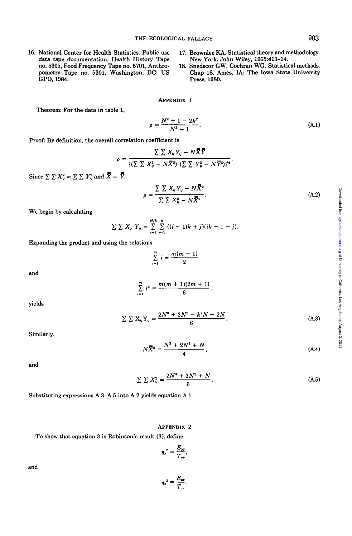- data tape documentation: Health History Tape New York: John Wiley, 1965:413-14.<br>no. 5305, Food Frequency Tape no. 5701, Anthro- 18. Snedecor GW, Cochran WG. Statistical methods. GPO, 1984. Press, 1980.
- 16. National Center for Health Statistics. Public use 17. Brownlee KA. Statistical theory and methodology.<br>
data tape documentation: Health History Tape New York: John Wiley, 1965:413-14.
	- no. 5305, Food Frequency Tape no. 5701, Anthro- 18. Snedecor GW, Cochran WG. Statistical methods, pometry Tape no. 5301. Washington, DC: US Chap 18. Ames, IA: The Iowa State University

### APPENDIX 1

Theorem: For the data in table 1,

$$
\rho = \frac{N^2 + 1 - 2k^2}{N^2 - 1}.
$$
\n(A.1)

Proof: By definition, the overall correlation coefficient is

$$
\rho = \frac{\sum \sum x_{ij} Y_{ij} - N \overline{\overline{X}} \overline{Y}}{\{(\sum \sum X_{ij}^2 - N \overline{\overline{X}}^2) \ (\sum \sum Y_{ij}^2 - N \overline{\overline{Y}}^2)\}^{V_{\alpha}}}
$$

Since  $\sum \sum X_{ij}^2 = \sum \sum Y_{ij}^2$  and  $\overline{\overline{X}} = \overline{\overline{Y}}$ ,

$$
\rho = \frac{\sum \sum X_y Y_y - N\overline{X}^2}{\sum \sum X_y^2 - N\overline{X}^2}.
$$
\n(A.2)

We begin by calculating

$$
\sum_{i=1}^{N/k} X_{ij} Y_{ij} = \sum_{i=1}^{N/k} \sum_{j=1}^{k} ((i-1)k + j)(ik + 1 - j).
$$

Expanding the product and using the relations

$$
\sum_{i=1}^m i = \frac{m(m+1)}{2}
$$

and

$$
\sum_{i=1}^{m} i^2 = \frac{m(m+1)(2m+1)}{6}
$$

yields

 $\sum \sum X_{ij} Y_{ij} = \frac{2N^3 + 3N^2 - k^2N + 2N}{6}$  (A.3)

Similarly,

$$
N\bar{\bar{X}}^2 = \frac{N^3 + 2N^2 + N}{4},
$$
\n(A.4)

and

$$
\sum \sum X_{ij}^2 = \frac{2N^3 + 3N^2 + N}{6}.
$$
 (A.5)

Substituting expressions A.3-A.5 into A.2 yields equation A.I.

### APPENDIX 2

To show that equation 3 is Robinson's result (3), define

$$
\eta_{y}^{2}=\frac{E_{yy}}{T_{yy}},
$$

and

$$
\eta_x^2 = \frac{E_{xx}}{T_{xx}}.
$$